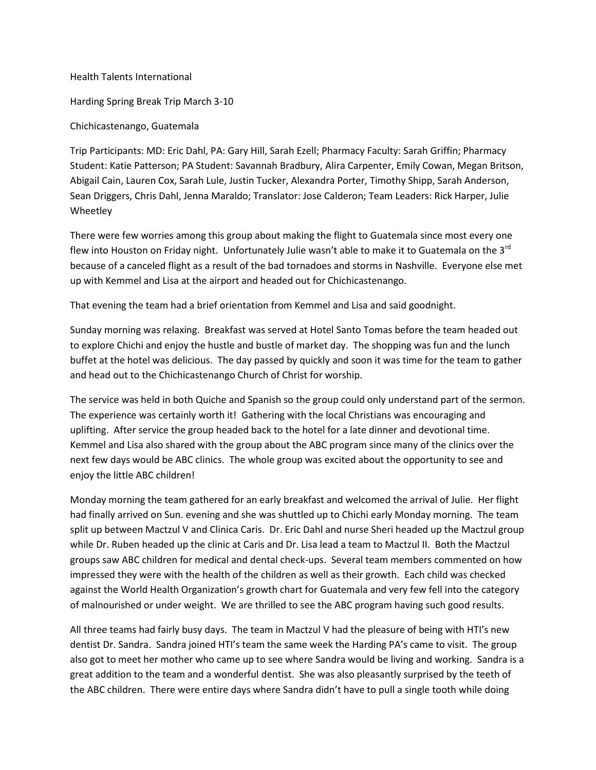Health Talents International

Harding Spring Break Trip March 3-10

Chichicastenango, Guatemala

Trip Participants: MD: Eric Dahl, PA: Gary Hill, Sarah Ezell; Pharmacy Faculty: Sarah Griffin; Pharmacy Student: Katie Patterson; PA Student: Savannah Bradbury, Alira Carpenter, Emily Cowan, Megan Britson, Abigail Cain, Lauren Cox, Sarah Lule, Justin Tucker, Alexandra Porter, Timothy Shipp, Sarah Anderson, Sean Driggers, Chris Dahl, Jenna Maraldo; Translator: Jose Calderon; Team Leaders: Rick Harper, Julie Wheetley

There were few worries among this group about making the flight to Guatemala since most every one flew into Houston on Friday night. Unfortunately Julie wasn't able to make it to Guatemala on the 3 $^{\text{rd}}$ because of a canceled flight as a result of the bad tornadoes and storms in Nashville. Everyone else met up with Kemmel and Lisa at the airport and headed out for Chichicastenango.

That evening the team had a brief orientation from Kemmel and Lisa and said goodnight.

Sunday morning was relaxing. Breakfast was served at Hotel Santo Tomas before the team headed out to explore Chichi and enjoy the hustle and bustle of market day. The shopping was fun and the lunch buffet at the hotel was delicious. The day passed by quickly and soon it was time for the team to gather and head out to the Chichicastenango Church of Christ for worship.

The service was held in both Quiche and Spanish so the group could only understand part of the sermon. The experience was certainly worth it! Gathering with the local Christians was encouraging and uplifting. After service the group headed back to the hotel for a late dinner and devotional time. Kemmel and Lisa also shared with the group about the ABC program since many of the clinics over the next few days would be ABC clinics. The whole group was excited about the opportunity to see and enjoy the little ABC children!

Monday morning the team gathered for an early breakfast and welcomed the arrival of Julie. Her flight had finally arrived on Sun. evening and she was shuttled up to Chichi early Monday morning. The team split up between Mactzul V and Clinica Caris. Dr. Eric Dahl and nurse Sheri headed up the Mactzul group while Dr. Ruben headed up the clinic at Caris and Dr. Lisa lead a team to Mactzul II. Both the Mactzul groups saw ABC children for medical and dental check-ups. Several team members commented on how impressed they were with the health of the children as well as their growth. Each child was checked against the World Health Organization's growth chart for Guatemala and very few fell into the category of malnourished or under weight. We are thrilled to see the ABC program having such good results.

All three teams had fairly busy days. The team in Mactzul V had the pleasure of being with HTI's new dentist Dr. Sandra. Sandra joined HTI's team the same week the Harding PA's came to visit. The group also got to meet her mother who came up to see where Sandra would be living and working. Sandra is a great addition to the team and a wonderful dentist. She was also pleasantly surprised by the teeth of the ABC children. There were entire days where Sandra didn't have to pull a single tooth while doing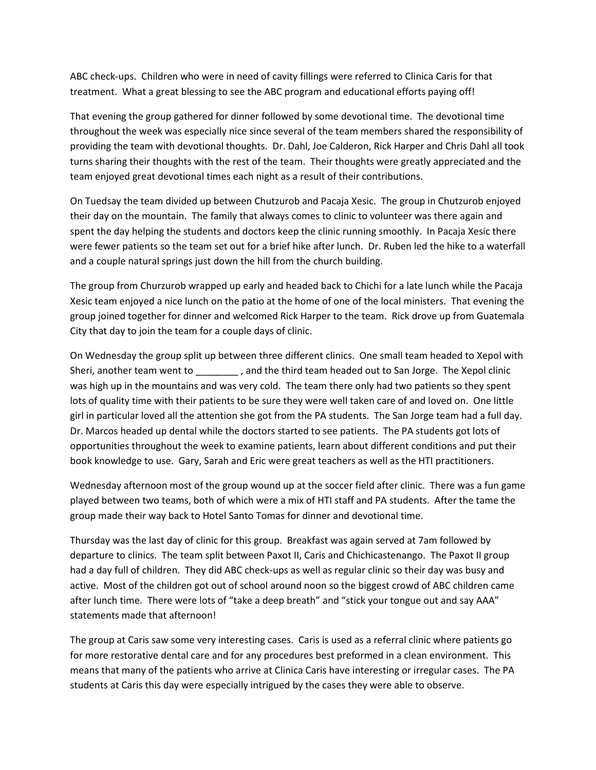ABC check-ups. Children who were in need of cavity fillings were referred to Clinica Caris for that treatment. What a great blessing to see the ABC program and educational efforts paying off!

That evening the group gathered for dinner followed by some devotional time. The devotional time throughout the week was especially nice since several of the team members shared the responsibility of providing the team with devotional thoughts. Dr. Dahl, Joe Calderon, Rick Harper and Chris Dahl all took turns sharing their thoughts with the rest of the team. Their thoughts were greatly appreciated and the team enjoyed great devotional times each night as a result of their contributions.

On Tuedsay the team divided up between Chutzurob and Pacaja Xesic. The group in Chutzurob enjoyed their day on the mountain. The family that always comes to clinic to volunteer was there again and spent the day helping the students and doctors keep the clinic running smoothly. In Pacaja Xesic there were fewer patients so the team set out for a brief hike after lunch. Dr. Ruben led the hike to a waterfall and a couple natural springs just down the hill from the church building.

The group from Churzurob wrapped up early and headed back to Chichi for a late lunch while the Pacaja Xesic team enjoyed a nice lunch on the patio at the home of one of the local ministers. That evening the group joined together for dinner and welcomed Rick Harper to the team. Rick drove up from Guatemala City that day to join the team for a couple days of clinic.

On Wednesday the group split up between three different clinics. One small team headed to Xepol with Sheri, another team went to \_\_\_\_\_\_\_\_ , and the third team headed out to San Jorge. The Xepol clinic was high up in the mountains and was very cold. The team there only had two patients so they spent lots of quality time with their patients to be sure they were well taken care of and loved on. One little girl in particular loved all the attention she got from the PA students. The San Jorge team had a full day. Dr. Marcos headed up dental while the doctors started to see patients. The PA students got lots of opportunities throughout the week to examine patients, learn about different conditions and put their book knowledge to use. Gary, Sarah and Eric were great teachers as well as the HTI practitioners.

Wednesday afternoon most of the group wound up at the soccer field after clinic. There was a fun game played between two teams, both of which were a mix of HTI staff and PA students. After the tame the group made their way back to Hotel Santo Tomas for dinner and devotional time.

Thursday was the last day of clinic for this group. Breakfast was again served at 7am followed by departure to clinics. The team split between Paxot II, Caris and Chichicastenango. The Paxot II group had a day full of children. They did ABC check-ups as well as regular clinic so their day was busy and active. Most of the children got out of school around noon so the biggest crowd of ABC children came after lunch time. There were lots of "take a deep breath" and "stick your tongue out and say AAA" statements made that afternoon!

The group at Caris saw some very interesting cases. Caris is used as a referral clinic where patients go for more restorative dental care and for any procedures best preformed in a clean environment. This means that many of the patients who arrive at Clinica Caris have interesting or irregular cases. The PA students at Caris this day were especially intrigued by the cases they were able to observe.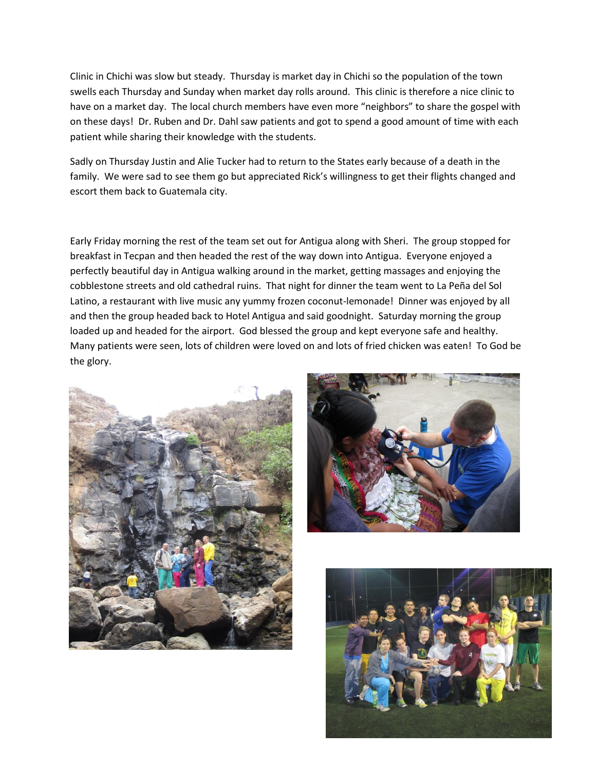Clinic in Chichi was slow but steady. Thursday is market day in Chichi so the population of the town swells each Thursday and Sunday when market day rolls around. This clinic is therefore a nice clinic to have on a market day. The local church members have even more "neighbors" to share the gospel with on these days! Dr. Ruben and Dr. Dahl saw patients and got to spend a good amount of time with each patient while sharing their knowledge with the students.

Sadly on Thursday Justin and Alie Tucker had to return to the States early because of a death in the family. We were sad to see them go but appreciated Rick's willingness to get their flights changed and escort them back to Guatemala city.

Early Friday morning the rest of the team set out for Antigua along with Sheri. The group stopped for breakfast in Tecpan and then headed the rest of the way down into Antigua. Everyone enjoyed a perfectly beautiful day in Antigua walking around in the market, getting massages and enjoying the cobblestone streets and old cathedral ruins. That night for dinner the team went to La Peña del Sol Latino, a restaurant with live music any yummy frozen coconut-lemonade! Dinner was enjoyed by all and then the group headed back to Hotel Antigua and said goodnight. Saturday morning the group loaded up and headed for the airport. God blessed the group and kept everyone safe and healthy. Many patients were seen, lots of children were loved on and lots of fried chicken was eaten! To God be the glory.